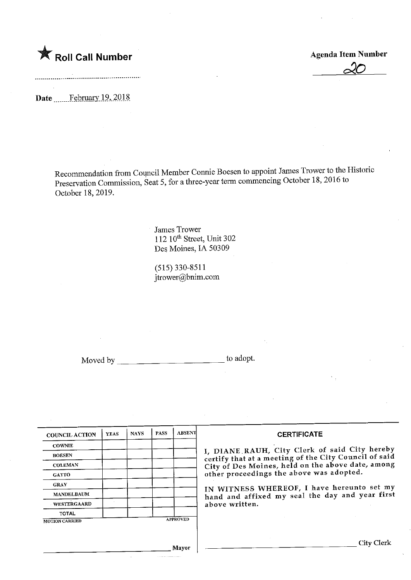

<u>xv</u>

Date .......February 19, 2018

Recommendation from Council Member Connie Boesen to appoint James Trower to the Historic Preservation Commission, Seat 5, for a three-year term commencing October 18,2016 to October 18, 2019.

> James Trower 112 10<sup>th</sup> Street, Unit 302 Des Moines, IA 50309

(515)330-8511  $itrower(a)$ bnim.com

Moved by the state of a dopt.

| <b>COUNCIL ACTION</b> | <b>YEAS</b> | <b>NAYS</b> | <b>PASS</b> | <b>ABSENT</b>   |
|-----------------------|-------------|-------------|-------------|-----------------|
| <b>COWNIE</b>         |             |             |             |                 |
| <b>BOESEN</b>         |             |             |             |                 |
| <b>COLEMAN</b>        |             |             |             |                 |
| <b>CATTO</b>          |             |             |             |                 |
| <b>GRAY</b>           |             |             |             |                 |
| <b>MANDELBAUM</b>     |             |             |             |                 |
| <b>WESTERGAARD</b>    |             |             |             |                 |
| <b>TOTAL</b>          |             |             |             |                 |
| <b>MOTION CARRIED</b> |             |             |             | <b>APPROVED</b> |

#### **CERTIFICATE**

I, DIANE, KAUH, City Clerk of said City hereby certify that at a meeting of the City Council of said<br>City of Dee Meines, hold on the above date, among City of Des Moines/ held on the above date/ among other proceedings the above was adopted.

IN WITNESS WHEREOF, I have hereunto set my hand and affixed my seal the day and year first above written.

Mayor

City Clerk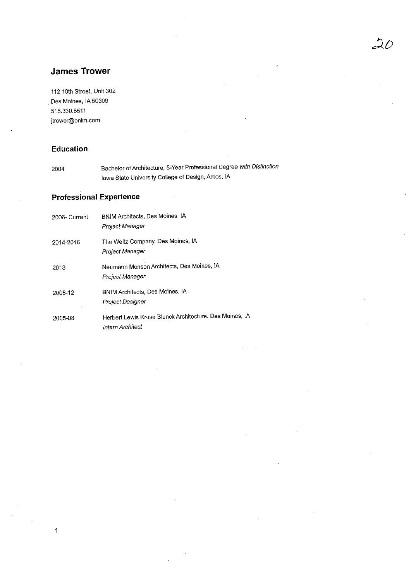## James Trower

112 10th Street, Unit 302 Des Moines, IA 50309 515.330.8511 jtrower@bnim.com

## Education

 $\overline{1}$ 

2004 Bachelor of Architecture, 5-Year Professional Degree with Distinction Iowa State University College of Design, Ames, IA

## Professional Experience

| 2006- Current | BNIM Architects, Des Moines, IA<br>Proiect Manager                          |
|---------------|-----------------------------------------------------------------------------|
| 2014-2016     | The Weitz Company, Des Moines, IA<br>Proiect Manager                        |
| 2013          | Neumann Monson Architects, Des Moines, IA<br>Project Manager                |
| 2008-12       | BNIM Architects, Des Moines, IA<br>Project Designer                         |
| 2005-08       | Herbert Lewis Kruse Blunck Architecture, Des Moines, IA<br>Intern Architect |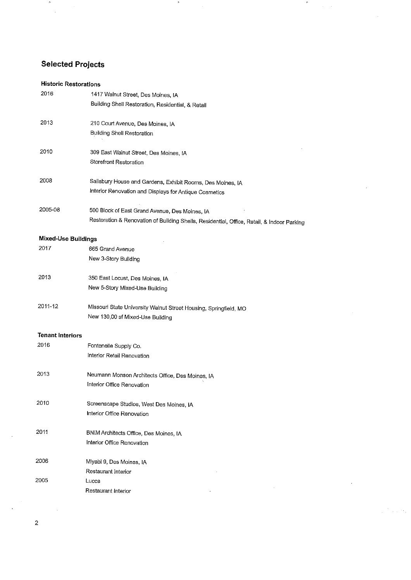# Selected Projects

 $\mu$ 

 $\bar{\beta}$ 

#### Historic Restorations

| 2016                       | 1417 Walnut Street, Des Moines, IA                                                         |
|----------------------------|--------------------------------------------------------------------------------------------|
|                            | Building Shell Restoration, Residential, & Retail                                          |
| 2013                       | 210 Court Avenue, Des Moines, IA                                                           |
|                            | <b>Building Shell Restoration</b>                                                          |
| 2010                       | 309 East Walnut Street, Des Moines, IA                                                     |
|                            | Storefront Restoration                                                                     |
| 2008                       | Salisbury House and Gardens, Exhibit Rooms, Des Moines, IA                                 |
|                            | Interior Renovation and Displays for Antique Cosmetics                                     |
| 2005-08                    | 500 Block of East Grand Avenue, Des Moines, IA                                             |
|                            | Restoration & Renovation of Building Shells, Residential, Office, Retail, & Indoor Parking |
| <b>Mixed-Use Buildings</b> |                                                                                            |
| 2017                       | 665 Grand Avenue                                                                           |
|                            | New 3-Story Building                                                                       |
| 2013                       | 350 East Locust, Des Moines, IA                                                            |
|                            | New 5-Story Mixed-Use Building                                                             |
| 2011-12                    | Missouri State University Walnut Street Housing, Springfield, MO                           |
|                            | New 130,00 sf Mixed-Use Building                                                           |
| <b>Tenant Interiors</b>    |                                                                                            |
| 2016                       | Fontenelle Supply Co.                                                                      |
|                            | Interior Retail Renovation                                                                 |
| 2013                       | Neumann Monson Architects Office, Des Moines, IA                                           |
|                            | Interior Office Renovation                                                                 |
| 2010                       | Screenscape Studios, West Des Moines, IA                                                   |
|                            | Interior Office Renovation                                                                 |
| 2011                       | BNIM Architects Office, Des Moines, IA                                                     |
|                            | Interior Office Renovation                                                                 |
| 2006                       | Miyabi 9, Des Moines, IA                                                                   |
|                            | Restaurant Interior                                                                        |
| 2005                       | Lucca                                                                                      |
|                            | Restaurant Interior                                                                        |

 $\mathfrak{p}$ 

 $\sigma$ 

 $\frac{1}{2}$ 

 $\frac{1}{2} \frac{1}{2} \frac{1}{2} \frac{1}{2} \frac{1}{2} \frac{1}{2} \frac{1}{2} \frac{1}{2} \frac{1}{2}$ 

 $\bar{z}$ 

 $\ddot{\phantom{1}}$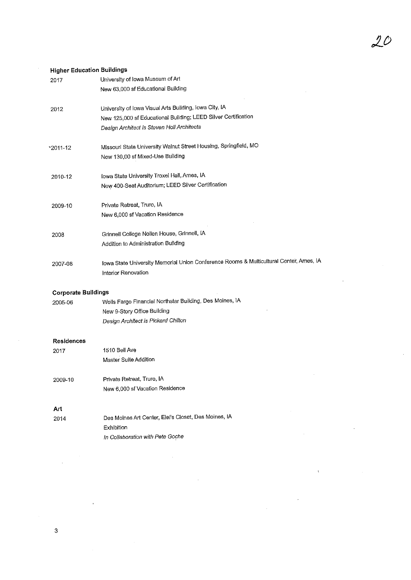#### Higher Education Buildings

| 2017                       | University of Iowa Museum of Art                                                                                         |
|----------------------------|--------------------------------------------------------------------------------------------------------------------------|
|                            | New 63,000 sf Educational Building                                                                                       |
| 2012                       | University of Iowa Visual Arts Building, Iowa City, IA<br>New 125,000 sf Educational Building; LEED Silver Certification |
|                            | Design Architect is Steven Holl Architects                                                                               |
| $\frac{12011 - 12}{20}$    | Missouri State University Walnut Street Housing, Springfield, MO                                                         |
|                            | New 130,00 sf Mixed-Use Building                                                                                         |
| 2010-12                    | Iowa State University Troxel Hall, Ames, IA                                                                              |
|                            | New 400-Seat Auditorium; LEED Silver Certification                                                                       |
| 2009-10                    | Private Retreat, Truro, IA                                                                                               |
|                            | New 6,000 sf Vacation Residence                                                                                          |
| 2008                       | Grinnell College Nollen House, Grinnell, IA                                                                              |
|                            | Addition to Administration Building                                                                                      |
| 2007-08                    | Iowa State University Memorial Union Conference Rooms & Multicultural Center, Ames, IA                                   |
|                            | Interior Renovation                                                                                                      |
| <b>Corporate Buildings</b> |                                                                                                                          |
| 2005-06                    | Wells Fargo Financial Northstar Building, Des Moines, IA                                                                 |

 $20$ 

 $\overline{\mathbf{r}}$ 

J,

| 2005-06 | Wells Fargo Financial Northstar Building, Des Moines, IA |
|---------|----------------------------------------------------------|
|         | New 9-Story Office Building                              |
|         | Design Architect is Pickard Chilton                      |

#### Residences

| 2017    | 1510 Bell Ave                   |
|---------|---------------------------------|
|         | Master Suite Addition           |
|         |                                 |
| 2009-10 | Private Retreat, Truro, IA      |
|         | New 6,000 sf Vacation Residence |
|         |                                 |

## Art

| 2014 | Des Moines Art Center, Eiel's Closet, Des Moines, IA |
|------|------------------------------------------------------|
|      | Exhibition                                           |
|      | In Collaboration with Pete Goche                     |

 $\overline{3}$ 

 $\overline{\phantom{a}}$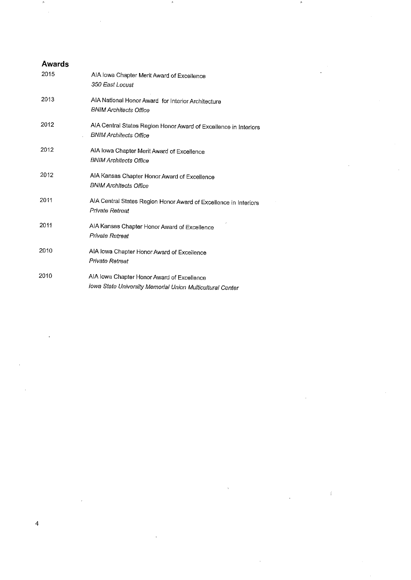## Awards<br>2015 AIA Iowa Chapter Merit Award of Excellence 350 East Locust 2013 AIANational Honor Award for Interior Architecture BN I M Architects Office 2012 AIA Central States Region Honor Award of Excellence in Interiors **BNIM Architects Office** 2012 AIA Iowa Chapter MeritAward of Excellence BNIM Architects Office 2012 AIA Kansas Chapter Honor Award of Excellence<br>BNIM Architects Office BNIM Architects Office 2011 AiACentra! States Region Honor Award of Excellence in Interiors Private Retreat 2011 AIA Kansas Chapter Honor Award of Excellence Private Retreat 2010 AIA Iowa Chapter Honor Award of Exceilence Private Retreat 2010 AIA Iowa Chapter Honor Award of Excellence Iowa State University Memorial Union Multicultural Center

Í

 $\mu$ 

 $\overline{4}$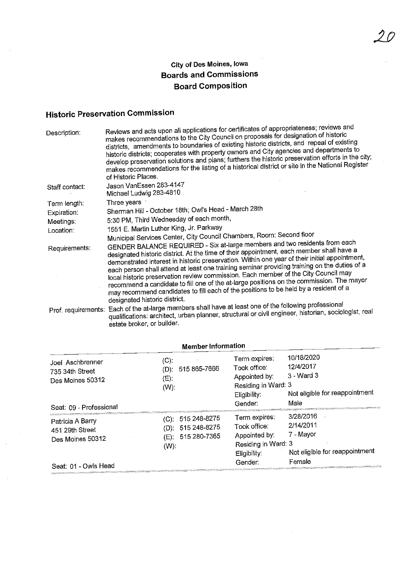## City of Des Moines, Iowa Boards and Commissions Board Composition

# Historic Preservation Commission

| Description:                                                           | Reviews and acts upon all applications for certificates of appropriateness; reviews and<br>makes recommendations to the City Council on proposals for designation of historic<br>districts, amendments to boundaries of existing historic districts, and repeal of existing<br>historic districts; cooperates with property owners and City agencies and departments to<br>develop preservation solutions and plans; furthers the historic preservation efforts in the city;<br>makes recommendations for the listing of a historical district or site in the National Register<br>of Historic Places.                                                                                                                                                                                                                                                                                                                  |
|------------------------------------------------------------------------|-------------------------------------------------------------------------------------------------------------------------------------------------------------------------------------------------------------------------------------------------------------------------------------------------------------------------------------------------------------------------------------------------------------------------------------------------------------------------------------------------------------------------------------------------------------------------------------------------------------------------------------------------------------------------------------------------------------------------------------------------------------------------------------------------------------------------------------------------------------------------------------------------------------------------|
| Staff contact:                                                         | Jason VanEssen 283-4147<br>Michael Ludwig 283-4810                                                                                                                                                                                                                                                                                                                                                                                                                                                                                                                                                                                                                                                                                                                                                                                                                                                                      |
| Term length:<br>Expiration:<br>Meetings:<br>Location:<br>Requirements: | Three years<br>Sherman Hill - October 18th; Owl's Head - March 28th<br>5:30 PM, Third Wednesday of each month,<br>1551 E. Martin Luther King, Jr. Parkway<br>Municipal Services Center, City Council Chambers, Room: Second floor<br>GENDER BALANCE REQUIRED - Six at-large members and two residents from each<br>designated historic district. At the time of their appointment, each member shall have a<br>demonstrated interest in historic preservation. Within one year of their initial appointment,<br>each person shall attend at least one training seminar providing training on the duties of a<br>local historic preservation review commission. Each member of the City Council may<br>recommend a candidate to fill one of the at-large positions on the commission. The mayor<br>may recommend candidates to fill each of the positions to be held by a resident of a<br>designated historic district. |
|                                                                        | Prof. requirements: Each of the at-large members shall have at least one of the following professional<br>qualifications: architect, urban planner, structural or civil engineer, historian, sociologist, real<br>estate broker, or builder.                                                                                                                                                                                                                                                                                                                                                                                                                                                                                                                                                                                                                                                                            |

| <b>Member Information</b>                                                          |                                                                       |                                                                                                  |                                                                                 |
|------------------------------------------------------------------------------------|-----------------------------------------------------------------------|--------------------------------------------------------------------------------------------------|---------------------------------------------------------------------------------|
| Joel Aschbrenner<br>735 34th Street<br>Des Moines 50312                            | $(C)$ :<br>515 865-7666<br>(D):<br>$(E)$ :<br>$(W)$ .                 | Term expires:<br>Took office:<br>Appointed by:<br>Residing in Ward: 3<br>Eligibility:<br>Gender: | 10/18/2020<br>12/4/2017<br>3 - Ward 3<br>Not eligible for reappointment<br>Male |
| Seat: 09 - Professional<br>Patricia A Barry<br>451 29th Street<br>Des Moines 50312 | (C): 515 248-8275<br>(D): 515 248-8275<br>515 280-7365<br>(E):<br>(W) | Term expires:<br>Took office:<br>Appointed by:<br>Residing in Ward: 3<br>Eligibility:            | 3/28/2016<br>2/14/2011<br>7 - Mayor<br>Not eligible for reappointment           |
| Seat: 01 - Owls Head                                                               |                                                                       | Gender:                                                                                          | Female                                                                          |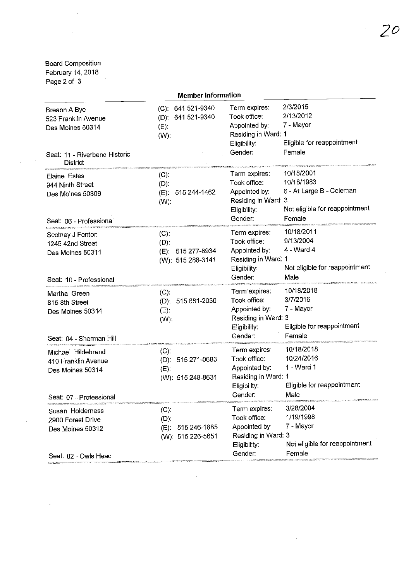## Board Composition February 14,2018

 $\sim$   $\alpha$ 

 $\mathcal{L}^{\text{max}}_{\text{max}}$ 

| Page 2 of 3 |  |  |
|-------------|--|--|
|-------------|--|--|

 $\sim$ 

 $\mathcal{L}^{\mathcal{L}}$ 

| <b>Member Information</b>                                                                                   |                                                                 |                                                                                                  |                                                                                                  |
|-------------------------------------------------------------------------------------------------------------|-----------------------------------------------------------------|--------------------------------------------------------------------------------------------------|--------------------------------------------------------------------------------------------------|
| Breann A Bye<br>523 Franklin Avenue<br>Des Moines 50314<br>Seat: 11 - Riverbend Historic<br><b>District</b> | (C): 641 521-9340<br>(D): 641 521-9340<br>(E).<br>$(W)$ :       | Term expires:<br>Took office:<br>Appointed by:<br>Residing in Ward: 1<br>Eligibility:<br>Gender: | 2/3/2015<br>2/13/2012<br>7 - Mayor<br>Eligible for reappointment<br>Female                       |
| <b>Elaine Estes</b><br>944 Ninth Street<br>Des Moines 50309<br>Seat: 06 - Professional                      | $(C)$ .<br>$(D)$ :<br>(E): 515 244-1462<br>$(W)$ :              | Term expires:<br>Took office:<br>Appointed by:<br>Residing in Ward: 3<br>Eligibility:<br>Gender: | 10/18/2001<br>10/18/1983<br>6 - At Large B - Coleman<br>Not eligible for reappointment<br>Female |
| Scotney J Fenton<br>1245 42nd Street<br>Des Moines 50311<br>Seat: 10 - Professional                         | $(C)$ :<br>$(D)$ :<br>(E): 515 277-8934<br>(W): 515 288-3141    | Term expires:<br>Took office:<br>Appointed by:<br>Residing in Ward: 1<br>Eligibility:<br>Gender: | 10/18/2011<br>9/13/2004<br>$4 - Ward 4$<br>Not eligible for reappointment<br>Male                |
| Martha Green<br>815 8th Street<br>Des Moines 50314<br>Seat: 04 - Sherman Hill                               | $(C)$ :<br>(D): 515 681-2030<br>$(E)$ :<br>$(W)$ :              | Term'expires:<br>Took office:<br>Appointed by:<br>Residing in Ward: 3<br>Eligibility:<br>Gender: | 10/18/2018<br>3/7/2016<br>7 - Mayor<br>Eligible for reappointment<br>Female                      |
| Michael Hildebrand<br>410 Franklin Avenue<br>Des Moines 50314<br>Seat: 07 - Professional                    | $(C)$ :<br>(D): 515 271-0683<br>(E):<br>(W): 515 248-8631       | Term expires:<br>Took office:<br>Appointed by:<br>Residing in Ward: 1<br>Eligibility:<br>Gender: | 10/18/2018<br>10/24/2016<br>1 - Ward 1<br>Eligible for reappointment<br>Male                     |
| Susan Holderness<br>2900 Forest Drive<br>Des Moines 50312<br>Seat: 02 - Owls Head                           | $(C)$ :<br>$(D)$ :<br>515 246-1885<br>(E):<br>(W): 515 226-5651 | Term expires:<br>Took office:<br>Appointed by:<br>Residing in Ward: 3<br>Eligibility:<br>Gender: | 3/28/2004<br>1/19/1998<br>7 - Mayor<br>Not eligible for reappointment<br>Female                  |

 $\sim$ 

 $\sim 10^6$ 

 $\ddot{\phantom{a}}$ 

 $\sim$